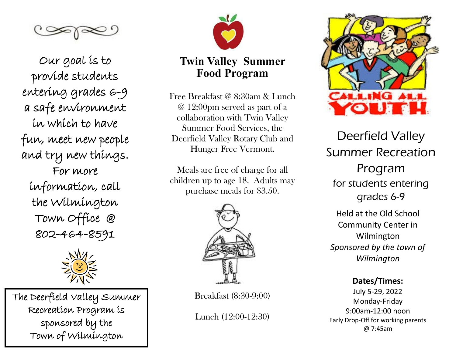

Our goal is to provide students entering grades 6-9 a safe environment in which to have fun, meet new people and try new things. For more information, call the Wilmington Town Office @ 802-464-8591



The Deerfield Valley Summer Recreation Program is sponsored by the Town of Wilmington



# **Twin Valley Summer Food Program**

Free Breakfast @ 8:30am & Lunch @ 12:00pm served as part of a collaboration with Twin Valley Summer Food Services, the Deerfield Valley Rotary Club and Hunger Free Vermont.

Meals are free of charge for all children up to age 18. Adults may purchase meals for \$3.50.



Breakfast (8:30-9:00)

Lunch (12:00-12:30)



Deerfield Valley Summer Recreation Program for students entering grades 6-9 Held at the Old School Community Center in Wilmington *Sponsored by the town of Wilmington*

**Dates/Times:** July 5-29, 2022 Monday-Friday 9:00am-12:00 noon Early Drop-Off for working parents @ 7:45am